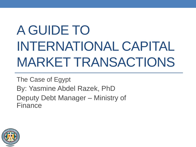# A GUIDE TO INTERNATIONAL CAPITAL MARKET TRANSACTIONS

The Case of Egypt By: Yasmine Abdel Razek, PhD Deputy Debt Manager – Ministry of Finance

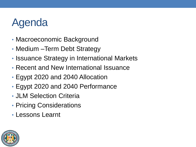### Agenda

- Macroeconomic Background
- Medium –Term Debt Strategy
- Issuance Strategy in International Markets
- Recent and New International Issuance
- Egypt 2020 and 2040 Allocation
- Egypt 2020 and 2040 Performance
- JLM Selection Criteria
- Pricing Considerations
- Lessons Learnt

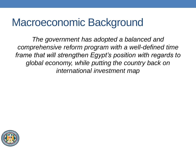### Macroeconomic Background

*The government has adopted a balanced and comprehensive reform program with a well-defined time frame that will strengthen Egypt's position with regards to global economy, while putting the country back on international investment map*

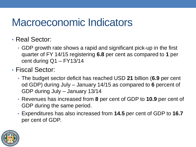### Macroeconomic Indicators

- Real Sector:
	- GDP growth rate shows a rapid and significant pick-up in the first quarter of FY 14/15 registering **6.8** per cent as compared to **1** per cent during Q1 – FY13/14
- Fiscal Sector:
	- The budget sector deficit has reached USD **21** billion (**6.9** per cent od GDP) during July – January 14/15 as compared to **6** percent of GDP during July – January 13/14
	- Revenues has increased from **8** per cent of GDP to **10.9** per cent of GDP during the same period.
	- Expenditures has also increased from **14.5** per cent of GDP to **16.7** per cent of GDP.

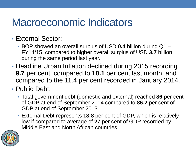### Macroeconomic Indicators

#### • External Sector:

- BOP showed an overall surplus of USD **0.4** billion during Q1 FY14/15, compared to higher overall surplus of USD **3.7** billion during the same period last year.
- Headline Urban Inflation declined during 2015 recording **9.7** per cent, compared to **10.1** per cent last month, and compared to the 11.4 per cent recorded in January 2014.
- Public Debt:
	- Total government debt (domestic and external) reached **86** per cent of GDP at end of September 2014 compared to **86.2** per cent of GDP at end of September 2013.
	- External Debt represents **13.8** per cent of GDP, which is relatively low if compared to average of **27** per cent of GDP recorded by Middle East and North African countries.

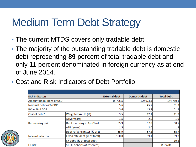### Medium Term Debt Strategy

- The current MTDS covers only tradable debt.
- The majority of the outstanding tradable debt is domestic debt representing **89** percent of total tradable debt and only **11** percent denominated in foreign currency as at end of June 2014.
- Cost and Risk Indicators of Debt Portfolio

| <b>Risk Indicators</b>      |                               | <b>External debt</b> | <b>Domestic debt</b> | <b>Total debt</b> |
|-----------------------------|-------------------------------|----------------------|----------------------|-------------------|
| Amount (in millions of USD) |                               | 15,706.5             | 129,073.5            | 144,780.1         |
| Nominal debt as % GDP       |                               | 5.6                  | 45.7                 | 51.3              |
| PV as % of GDP              |                               | 5.6                  | 45.7                 | 51.3              |
| Cost of debt*               | Weighted Av. IR (%)           | 3.5                  | 12.1                 | 11.2              |
|                             | ATM (years)                   | 1.5                  | 2.0                  | 1.9               |
| <b>Refinancing risk</b>     | Debt maturing in 1yr (% of    | 65.9                 | 57.8                 | 58.7              |
|                             | ATR (years)                   | 1.5                  | 2.0                  | 1.9               |
|                             | Debt refixing in 1yr (% of to | 65.9                 | 57.8                 | 58.7              |
| Interest rate risk          | Fixed rate debt (% of total)  | 100.0                | 99.1                 | 99.2              |
|                             | FX debt (% of total debt)     |                      |                      | 10.8              |
| <b>FX risk</b>              | ST FX debt (% of reserves)    |                      |                      | #DIV/0!           |

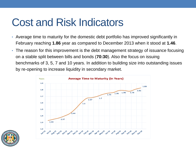### Cost and Risk Indicators

- Average time to maturity for the domestic debt portfolio has improved significantly in February reaching **1.86** year as compared to December 2013 when it stood at **1.46**.
- The reason for this improvement is the debt management strategy of issuance focusing on a stable split between bills and bonds (**70:30**). Also the focus on issuing benchmarks of 3, 5, 7 and 10 years. In addition to building size into outstanding issues by re-opening to increase liquidity in secondary market.



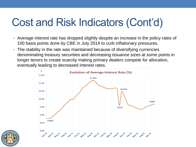### Cost and Risk Indicators (Cont'd)

- Average interest rate has dropped slightly despite an increase in the policy rates of 100 basis points done by CBE in July 2014 to curb inflationary pressures.
- The stability in the rate was maintained because of diversifying currencies denominating treasury securities and decreasing issuance sizes at some points in longer tenors to create scarcity making primary dealers compete for allocation, eventually leading to decreased interest rates.



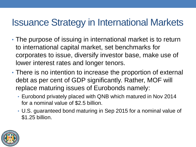#### Issuance Strategy in International Markets

- The purpose of issuing in international market is to return to international capital market, set benchmarks for corporates to issue, diversify investor base, make use of lower interest rates and longer tenors.
- There is no intention to increase the proportion of external debt as per cent of GDP significantly. Rather, MOF will replace maturing issues of Eurobonds namely:
	- Eurobond privately placed with QNB which matured in Nov 2014 for a nominal value of \$2.5 billion.
	- U.S. guaranteed bond maturing in Sep 2015 for a nominal value of \$1.25 billion.

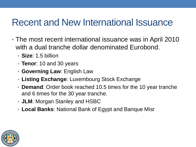#### Recent and New International Issuance

- The most recent international issuance was in April 2010 with a dual tranche dollar denominated Eurobond.
	- **Size**: 1.5 billion
	- **Tenor**: 10 and 30 years
	- **Governing Law**: English Law
	- **Listing Exchange**: Luxembourg Stock Exchange
	- **Demand**: Order book reached 10.5 times for the 10 year tranche and 6 times for the 30 year tranche.
	- **JLM**: Morgan Stanley and HSBC
	- **Local Banks**: National Bank of Egypt and Banque Misr

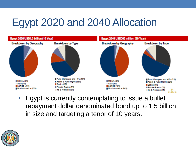### Egypt 2020 and 2040 Allocation



• Egypt is currently contemplating to issue a bullet repayment dollar denominated bond up to 1.5 billion in size and targeting a tenor of 10 years.

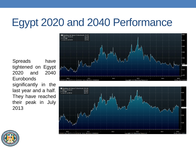### Egypt 2020 and 2040 Performance

Spreads have tightened on Egypt 2020 and 2040 **Eurobonds** significantly in the last year and a half. They have reached their peak in July 2013





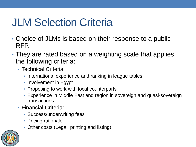### JLM Selection Criteria

- Choice of JLMs is based on their response to a public RFP.
- They are rated based on a weighting scale that applies the following criteria:
	- Technical Criteria:
		- International experience and ranking in league tables
		- Involvement in Egypt
		- Proposing to work with local counterparts
		- Experience in Middle East and region in sovereign and quasi-sovereign transactions.
	- Financial Criteria:
		- Success/underwriting fees
		- Pricing rationale
		- Other costs (Legal, printing and listing)

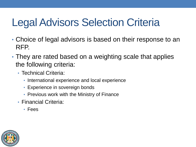### Legal Advisors Selection Criteria

- Choice of legal advisors is based on their response to an RFP.
- They are rated based on a weighting scale that applies the following criteria:
	- Technical Criteria:
		- International experience and local experience
		- Experience in sovereign bonds
		- Previous work with the Ministry of Finance
	- Financial Criteria:
		- Fees

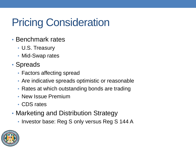## Pricing Consideration

- Benchmark rates
	- U.S. Treasury
	- Mid-Swap rates
- Spreads
	- Factors affecting spread
	- Are indicative spreads optimistic or reasonable
	- Rates at which outstanding bonds are trading
	- New Issue Premium
	- CDS rates
- Marketing and Distribution Strategy
	- Investor base: Reg S only versus Reg S 144 A

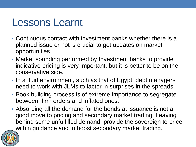### Lessons Learnt

- Continuous contact with investment banks whether there is a planned issue or not is crucial to get updates on market opportunities.
- Market sounding performed by Investment banks to provide indicative pricing is very important, but it is better to be on the conservative side.
- In a fluid environment, such as that of Egypt, debt managers need to work with JLMs to factor in surprises in the spreads.
- Book building process is of extreme importance to segregate between firm orders and inflated ones.
- Absorbing all the demand for the bonds at issuance is not a good move to pricing and secondary market trading. Leaving behind some unfulfilled demand, provide the sovereign to price within guidance and to boost secondary market trading.